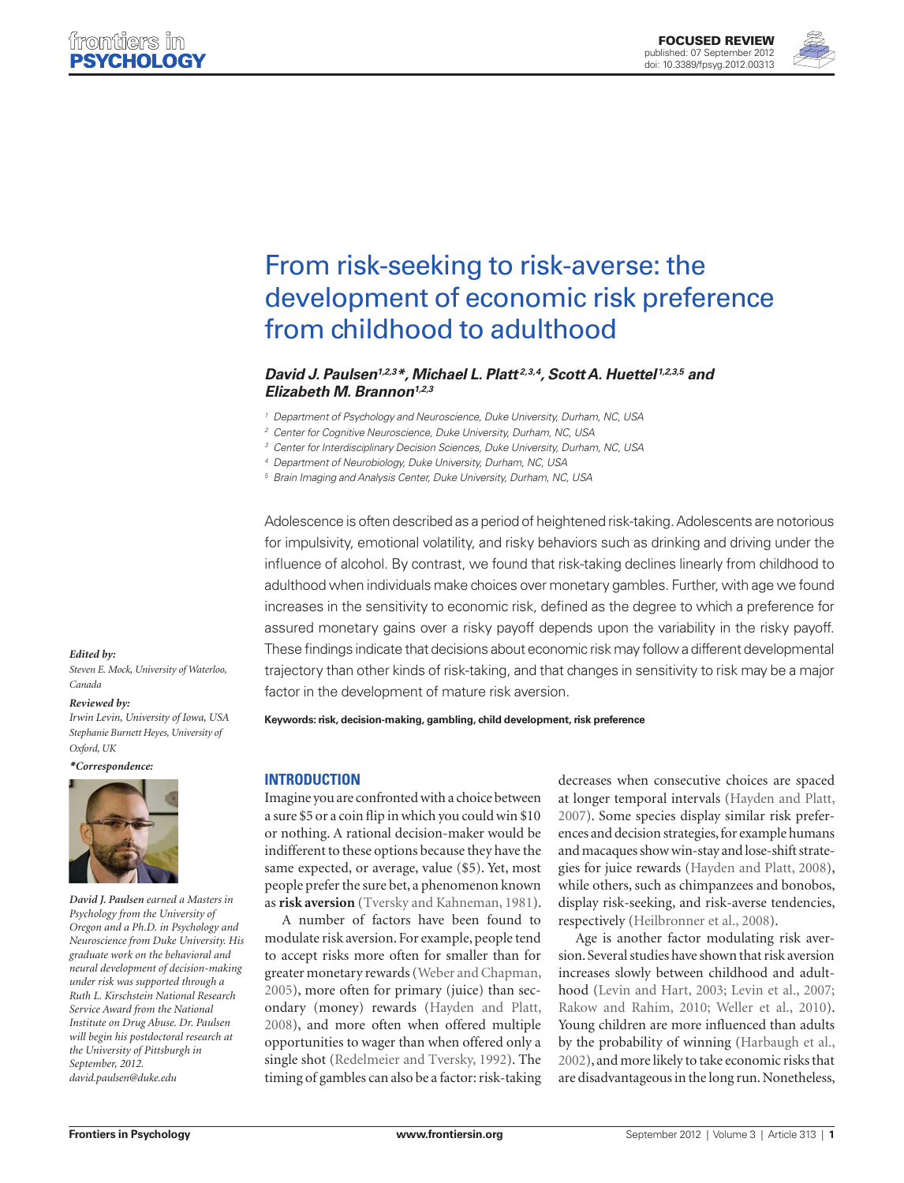

# From risk-seeking to risk-averse: the [development of economic risk preference](http://www.frontiersin.org/Psychology/10.3389/fpsyg.2012.00313/abstract) from childhood to adulthood

## *[David J. Paulsen1](http://www.frontiersin.org/Community/WhosWhoActivity.aspx?sname=DavidPaulsen&UID=21670),2,3\*, [Michael L. Platt](http://www.frontiersin.org/Community/WhosWhoActivity.aspx?sname=MichaelPlatt&UID=6614) 2,3,4, [Scott A. Huettel](http://www.frontiersin.org/Community/WhosWhoActivity.aspx?sname=ScottHuettel&UID=411)1,2,3,5 and [Elizabeth M. Brannon1](http://www.frontiersin.org/Community/WhosWhoActivity.aspx?sname=ElizabethBrannon&UID=7338),2,3*

*<sup>1</sup> Department of Psychology and Neuroscience, Duke University, Durham, NC, USA*

*<sup>2</sup> Center for Cognitive Neuroscience, Duke University, Durham, NC, USA*

*<sup>3</sup> Center for Interdisciplinary Decision Sciences, Duke University, Durham, NC, USA*

*<sup>4</sup> Department of Neurobiology, Duke University, Durham, NC, USA*

*<sup>5</sup> Brain Imaging and Analysis Center, Duke University, Durham, NC, USA*

Adolescence is often described as a period of heightened risk-taking. Adolescents are notorious for impulsivity, emotional volatility, and risky behaviors such as drinking and driving under the influence of alcohol. By contrast, we found that risk-taking declines linearly from childhood to adulthood when individuals make choices over monetary gambles. Further, with age we found increases in the sensitivity to economic risk, defined as the degree to which a preference for assured monetary gains over a risky payoff depends upon the variability in the risky payoff. These findings indicate that decisions about economic risk may follow a different developmental trajectory than other kinds of risk-taking, and that changes in sensitivity to risk may be a major factor in the development of mature risk aversion.

**Keywords: risk, decision-making, gambling, child development, risk preference**

## **Introduction**

Imagine you are confronted with a choice between a sure \$5 or a coin flip in which you could win \$10 or nothing. A rational decision-maker would be indifferent to these options because they have the same expected, or average, value (\$5). Yet, most people prefer the sure bet, a phenomenon known as **risk aversion** (Tversky and Kahneman, 1981).

A number of factors have been found to modulate risk aversion. For example, people tend to accept risks more often for smaller than for greater monetary rewards (Weber and Chapman, 2005), more often for primary (juice) than secondary (money) rewards (Hayden and Platt, 2008), and more often when offered multiple opportunities to wager than when offered only a single shot (Redelmeier and Tversky, 1992). The timing of gambles can also be a factor: risk-taking decreases when consecutive choices are spaced at longer temporal intervals (Hayden and Platt, 2007). Some species display similar risk preferences and decision strategies, for example humans and macaques show win-stay and lose-shift strategies for juice rewards (Hayden and Platt, 2008), while others, such as chimpanzees and bonobos, display risk-seeking, and risk-averse tendencies, respectively (Heilbronner et al., 2008).

Age is another factor modulating risk aversion. Several studies have shown that risk aversion increases slowly between childhood and adulthood (Levin and Hart, 2003; Levin et al., 2007; Rakow and Rahim, 2010; Weller et al., 2010). Young children are more influenced than adults by the probability of winning (Harbaugh et al., 2002), and more likely to take economic risks that are disadvantageous in the long run. Nonetheless,

### *Edited by:*

*Steven E. Mock, University of Waterloo, Canada*

### *Reviewed by:*

*Irwin Levin, University of Iowa, USA Stephanie Burnett Heyes, University of Oxford, UK*

*\*Correspondence:*



*David J. Paulsen earned a Masters in Psychology from the University of Oregon and a Ph.D. in Psychology and Neuroscience from Duke University. His graduate work on the behavioral and neural development of decision-making under risk was supported through a Ruth L. Kirschstein National Research Service Award from the National Institute on Drug Abuse. Dr. Paulsen will begin his postdoctoral research at the University of Pittsburgh in September, 2012. david.paulsen@duke.edu*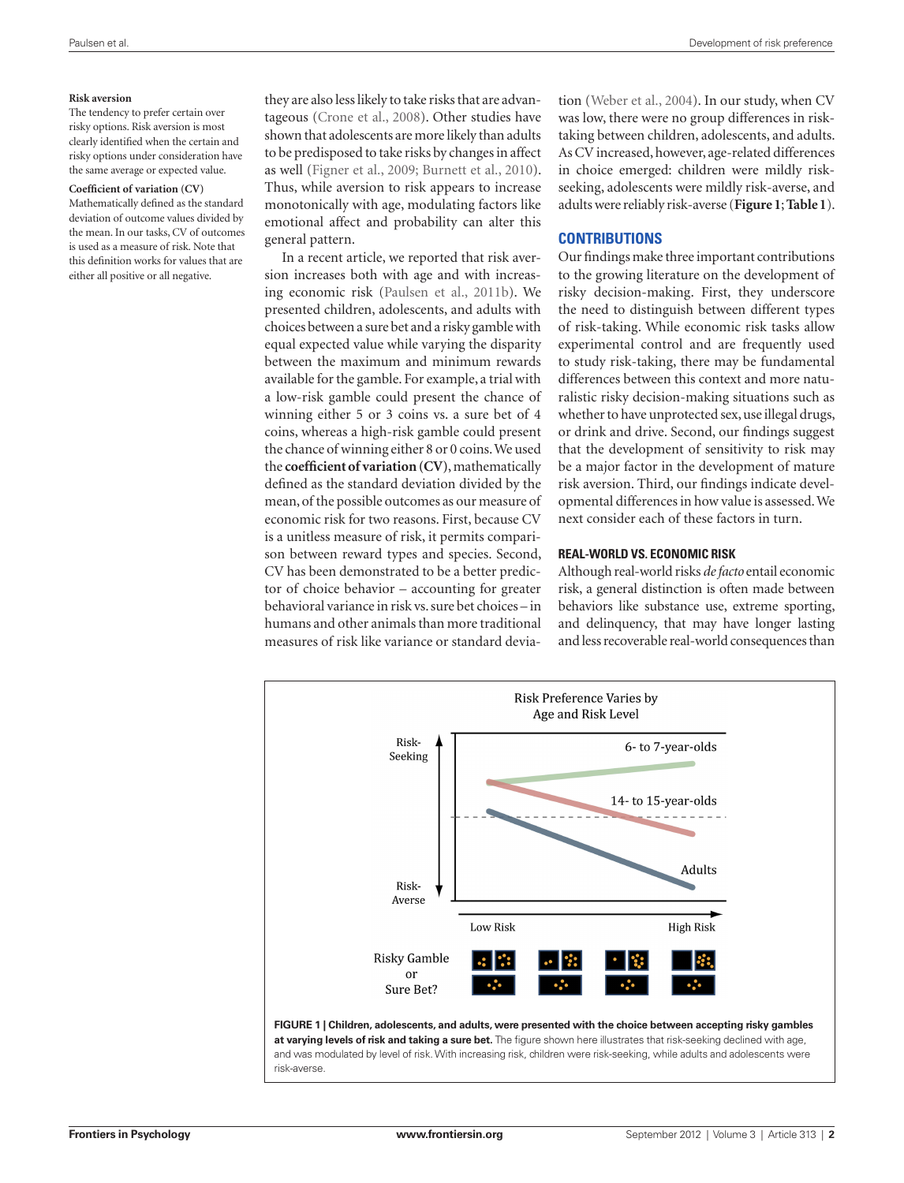#### **Risk aversion**

The tendency to prefer certain over risky options. Risk aversion is most clearly identified when the certain and risky options under consideration have the same average or expected value.

#### **Coefficient of variation (CV)**

Mathematically defined as the standard deviation of outcome values divided by the mean. In our tasks, CV of outcomes is used as a measure of risk. Note that this definition works for values that are either all positive or all negative.

they are also less likely to take risks that are advantageous (Crone et al., 2008). Other studies have shown that adolescents are more likely than adults to be predisposed to take risks by changes in affect as well (Figner et al., 2009; Burnett et al., 2010). Thus, while aversion to risk appears to increase monotonically with age, modulating factors like emotional affect and probability can alter this general pattern.

In a recent article, we reported that risk aversion increases both with age and with increasing economic risk (Paulsen et al., 2011b). We presented children, adolescents, and adults with choices between a sure bet and a risky gamble with equal expected value while varying the disparity between the maximum and minimum rewards available for the gamble. For example, a trial with a low-risk gamble could present the chance of winning either 5 or 3 coins vs. a sure bet of 4 coins, whereas a high-risk gamble could present the chance of winning either 8 or 0 coins. We used the **coefficient of variation (CV)**, mathematically defined as the standard deviation divided by the mean, of the possible outcomes as our measure of economic risk for two reasons. First, because CV is a unitless measure of risk, it permits comparison between reward types and species. Second, CV has been demonstrated to be a better predictor of choice behavior – accounting for greater behavioral variance in risk vs. sure bet choices – in humans and other animals than more traditional measures of risk like variance or standard deviation (Weber et al., 2004). In our study, when CV was low, there were no group differences in risktaking between children, adolescents, and adults. As CV increased, however, age-related differences in choice emerged: children were mildly riskseeking, adolescents were mildly risk-averse, and adults were reliably risk-averse (**Figure 1**; **Table 1**).

## **Contributions**

Our findings make three important contributions to the growing literature on the development of risky decision-making. First, they underscore the need to distinguish between different types of risk-taking. While economic risk tasks allow experimental control and are frequently used to study risk-taking, there may be fundamental differences between this context and more naturalistic risky decision-making situations such as whether to have unprotected sex, use illegal drugs, or drink and drive. Second, our findings suggest that the development of sensitivity to risk may be a major factor in the development of mature risk aversion. Third, our findings indicate developmental differences in how value is assessed. We next consider each of these factors in turn.

## **Real-world vs. economic risk**

Although real-world risks *de facto* entail economic risk, a general distinction is often made between behaviors like substance use, extreme sporting, and delinquency, that may have longer lasting and less recoverable real-world consequences than

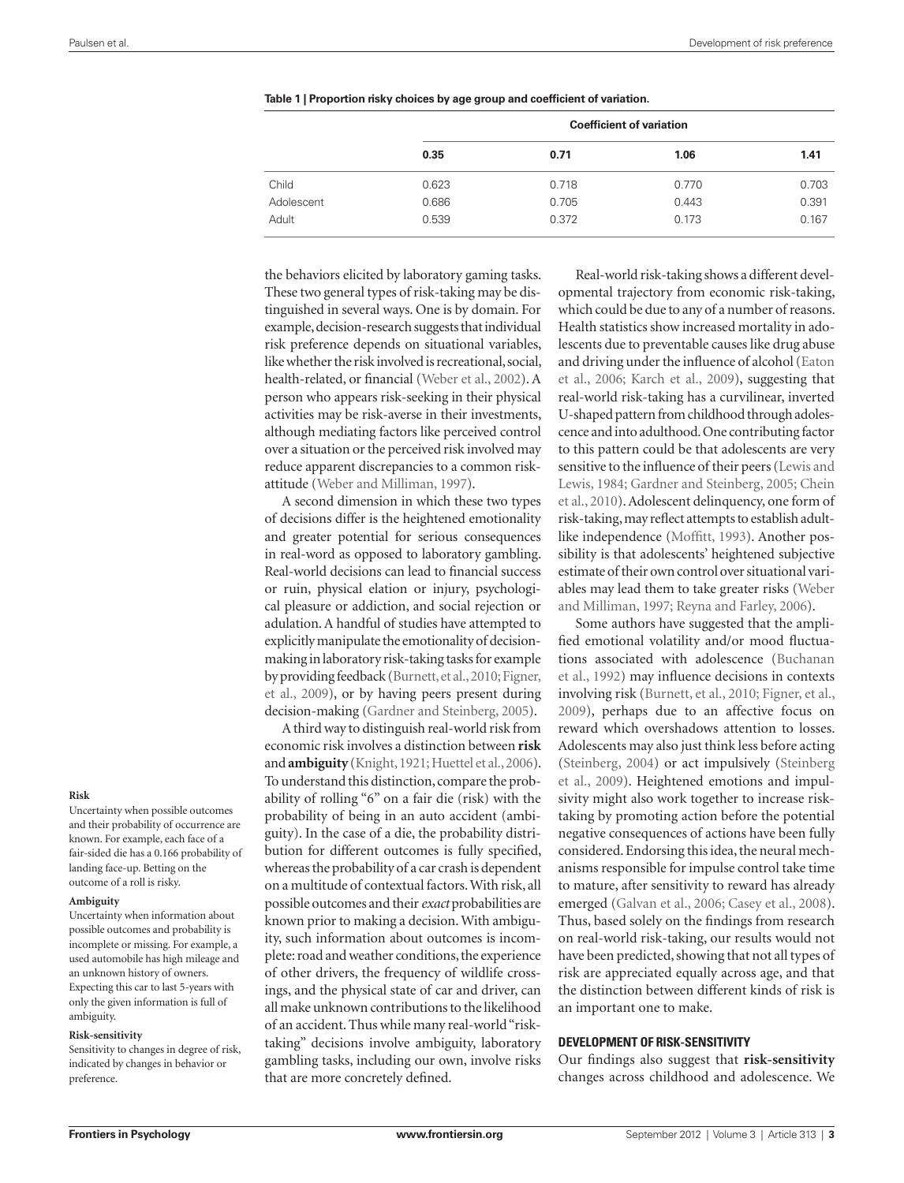|            | <b>Coefficient of variation</b> |       |       |       |  |  |
|------------|---------------------------------|-------|-------|-------|--|--|
|            | 0.35                            | 0.71  | 1.06  | 1.41  |  |  |
| Child      | 0.623                           | 0.718 | 0.770 | 0.703 |  |  |
| Adolescent | 0.686                           | 0.705 | 0.443 | 0.391 |  |  |
| Adult      | 0.539                           | 0.372 | 0.173 | 0.167 |  |  |

|  | Table 1   Proportion risky choices by age group and coefficient of variation. |  |  |
|--|-------------------------------------------------------------------------------|--|--|
|  |                                                                               |  |  |

the behaviors elicited by laboratory gaming tasks. These two general types of risk-taking may be distinguished in several ways. One is by domain. For example, decision-research suggests that individual risk preference depends on situational variables, like whether the risk involved is recreational, social, health-related, or financial (Weber et al., 2002). A person who appears risk-seeking in their physical activities may be risk-averse in their investments, although mediating factors like perceived control over a situation or the perceived risk involved may reduce apparent discrepancies to a common riskattitude (Weber and Milliman, 1997).

A second dimension in which these two types of decisions differ is the heightened emotionality and greater potential for serious consequences in real-word as opposed to laboratory gambling. Real-world decisions can lead to financial success or ruin, physical elation or injury, psychological pleasure or addiction, and social rejection or adulation. A handful of studies have attempted to explicitly manipulate the emotionality of decisionmaking in laboratory risk-taking tasks for example by providing feedback (Burnett, et al., 2010; Figner, et al., 2009), or by having peers present during decision-making (Gardner and Steinberg, 2005).

A third way to distinguish real-world risk from economic risk involves a distinction between **risk** and **ambiguity** (Knight, 1921; Huettel et al., 2006). To understand this distinction, compare the probability of rolling "6" on a fair die (risk) with the probability of being in an auto accident (ambiguity). In the case of a die, the probability distribution for different outcomes is fully specified, whereas the probability of a car crash is dependent on a multitude of contextual factors. With risk, all possible outcomes and their *exact* probabilities are known prior to making a decision. With ambiguity, such information about outcomes is incomplete: road and weather conditions, the experience of other drivers, the frequency of wildlife crossings, and the physical state of car and driver, can all make unknown contributions to the likelihood of an accident. Thus while many real-world "risktaking" decisions involve ambiguity, laboratory gambling tasks, including our own, involve risks that are more concretely defined.

Real-world risk-taking shows a different developmental trajectory from economic risk-taking, which could be due to any of a number of reasons. Health statistics show increased mortality in adolescents due to preventable causes like drug abuse and driving under the influence of alcohol (Eaton et al., 2006; Karch et al., 2009), suggesting that real-world risk-taking has a curvilinear, inverted U-shaped pattern from childhood through adolescence and into adulthood. One contributing factor to this pattern could be that adolescents are very sensitive to the influence of their peers (Lewis and Lewis, 1984; Gardner and Steinberg, 2005; Chein et al., 2010). Adolescent delinquency, one form of risk-taking, may reflect attempts to establish adultlike independence (Moffitt, 1993). Another possibility is that adolescents' heightened subjective estimate of their own control over situational variables may lead them to take greater risks (Weber and Milliman, 1997; Reyna and Farley, 2006).

Some authors have suggested that the amplified emotional volatility and/or mood fluctuations associated with adolescence (Buchanan et al., 1992) may influence decisions in contexts involving risk (Burnett, et al., 2010; Figner, et al., 2009), perhaps due to an affective focus on reward which overshadows attention to losses. Adolescents may also just think less before acting (Steinberg, 2004) or act impulsively (Steinberg et al., 2009). Heightened emotions and impulsivity might also work together to increase risktaking by promoting action before the potential negative consequences of actions have been fully considered. Endorsing this idea, the neural mechanisms responsible for impulse control take time to mature, after sensitivity to reward has already emerged (Galvan et al., 2006; Casey et al., 2008). Thus, based solely on the findings from research on real-world risk-taking, our results would not have been predicted, showing that not all types of risk are appreciated equally across age, and that the distinction between different kinds of risk is an important one to make.

## **Development of risk-sensitivity**

Our findings also suggest that **risk-sensitivity** changes across childhood and adolescence. We

#### **Risk**

Uncertainty when possible outcomes and their probability of occurrence are known. For example, each face of a fair-sided die has a 0.166 probability of landing face-up. Betting on the outcome of a roll is risky.

#### **Ambiguity**

Uncertainty when information about possible outcomes and probability is incomplete or missing. For example, a used automobile has high mileage and an unknown history of owners. Expecting this car to last 5-years with only the given information is full of ambiguity.

#### **Risk-sensitivity**

Sensitivity to changes in degree of risk, indicated by changes in behavior or preference.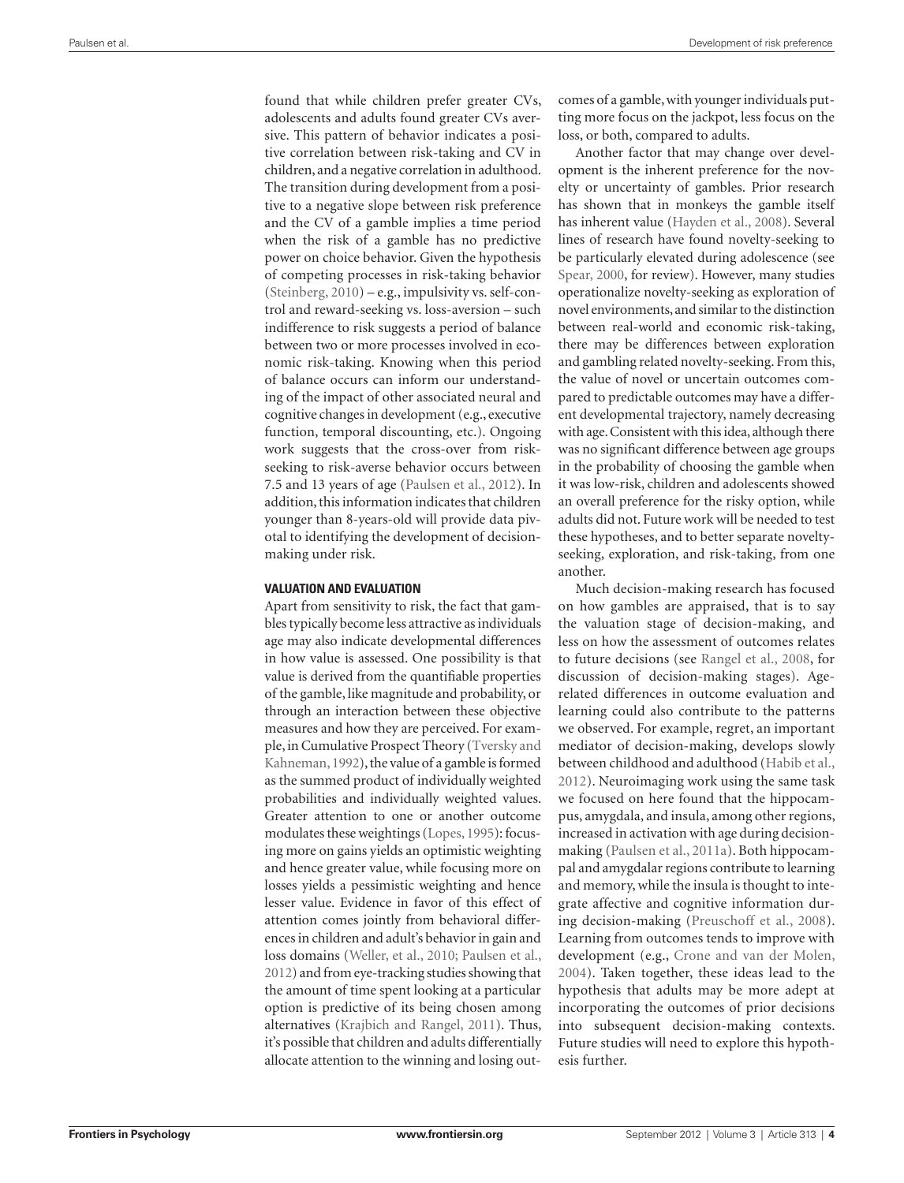found that while children prefer greater CVs, adolescents and adults found greater CVs aversive. This pattern of behavior indicates a positive correlation between risk-taking and CV in children, and a negative correlation in adulthood. The transition during development from a positive to a negative slope between risk preference and the CV of a gamble implies a time period when the risk of a gamble has no predictive power on choice behavior. Given the hypothesis of competing processes in risk-taking behavior (Steinberg, 2010) – e.g., impulsivity vs. self-control and reward-seeking vs. loss-aversion – such indifference to risk suggests a period of balance between two or more processes involved in economic risk-taking. Knowing when this period of balance occurs can inform our understanding of the impact of other associated neural and cognitive changes in development (e.g., executive function, temporal discounting, etc.). Ongoing work suggests that the cross-over from riskseeking to risk-averse behavior occurs between 7.5 and 13 years of age (Paulsen et al., 2012). In addition, this information indicates that children younger than 8-years-old will provide data pivotal to identifying the development of decisionmaking under risk.

#### **Valuation and evaluation**

Apart from sensitivity to risk, the fact that gambles typically become less attractive as individuals age may also indicate developmental differences in how value is assessed. One possibility is that value is derived from the quantifiable properties of the gamble, like magnitude and probability, or through an interaction between these objective measures and how they are perceived. For example, in Cumulative Prospect Theory (Tversky and Kahneman, 1992), the value of a gamble is formed as the summed product of individually weighted probabilities and individually weighted values. Greater attention to one or another outcome modulates these weightings (Lopes, 1995): focusing more on gains yields an optimistic weighting and hence greater value, while focusing more on losses yields a pessimistic weighting and hence lesser value. Evidence in favor of this effect of attention comes jointly from behavioral differences in children and adult's behavior in gain and loss domains (Weller, et al., 2010; Paulsen et al., 2012) and from eye-tracking studies showing that the amount of time spent looking at a particular option is predictive of its being chosen among alternatives (Krajbich and Rangel, 2011). Thus, it's possible that children and adults differentially allocate attention to the winning and losing outcomes of a gamble, with younger individuals putting more focus on the jackpot, less focus on the loss, or both, compared to adults.

Another factor that may change over development is the inherent preference for the novelty or uncertainty of gambles. Prior research has shown that in monkeys the gamble itself has inherent value (Hayden et al., 2008). Several lines of research have found novelty-seeking to be particularly elevated during adolescence (see Spear, 2000, for review). However, many studies operationalize novelty-seeking as exploration of novel environments, and similar to the distinction between real-world and economic risk-taking, there may be differences between exploration and gambling related novelty-seeking. From this, the value of novel or uncertain outcomes compared to predictable outcomes may have a different developmental trajectory, namely decreasing with age. Consistent with this idea, although there was no significant difference between age groups in the probability of choosing the gamble when it was low-risk, children and adolescents showed an overall preference for the risky option, while adults did not. Future work will be needed to test these hypotheses, and to better separate noveltyseeking, exploration, and risk-taking, from one another.

Much decision-making research has focused on how gambles are appraised, that is to say the valuation stage of decision-making, and less on how the assessment of outcomes relates to future decisions (see Rangel et al., 2008, for discussion of decision-making stages). Agerelated differences in outcome evaluation and learning could also contribute to the patterns we observed. For example, regret, an important mediator of decision-making, develops slowly between childhood and adulthood (Habib et al., 2012). Neuroimaging work using the same task we focused on here found that the hippocampus, amygdala, and insula, among other regions, increased in activation with age during decisionmaking (Paulsen et al., 2011a). Both hippocampal and amygdalar regions contribute to learning and memory, while the insula is thought to integrate affective and cognitive information during decision-making (Preuschoff et al., 2008). Learning from outcomes tends to improve with development (e.g., Crone and van der Molen, 2004). Taken together, these ideas lead to the hypothesis that adults may be more adept at incorporating the outcomes of prior decisions into subsequent decision-making contexts. Future studies will need to explore this hypothesis further.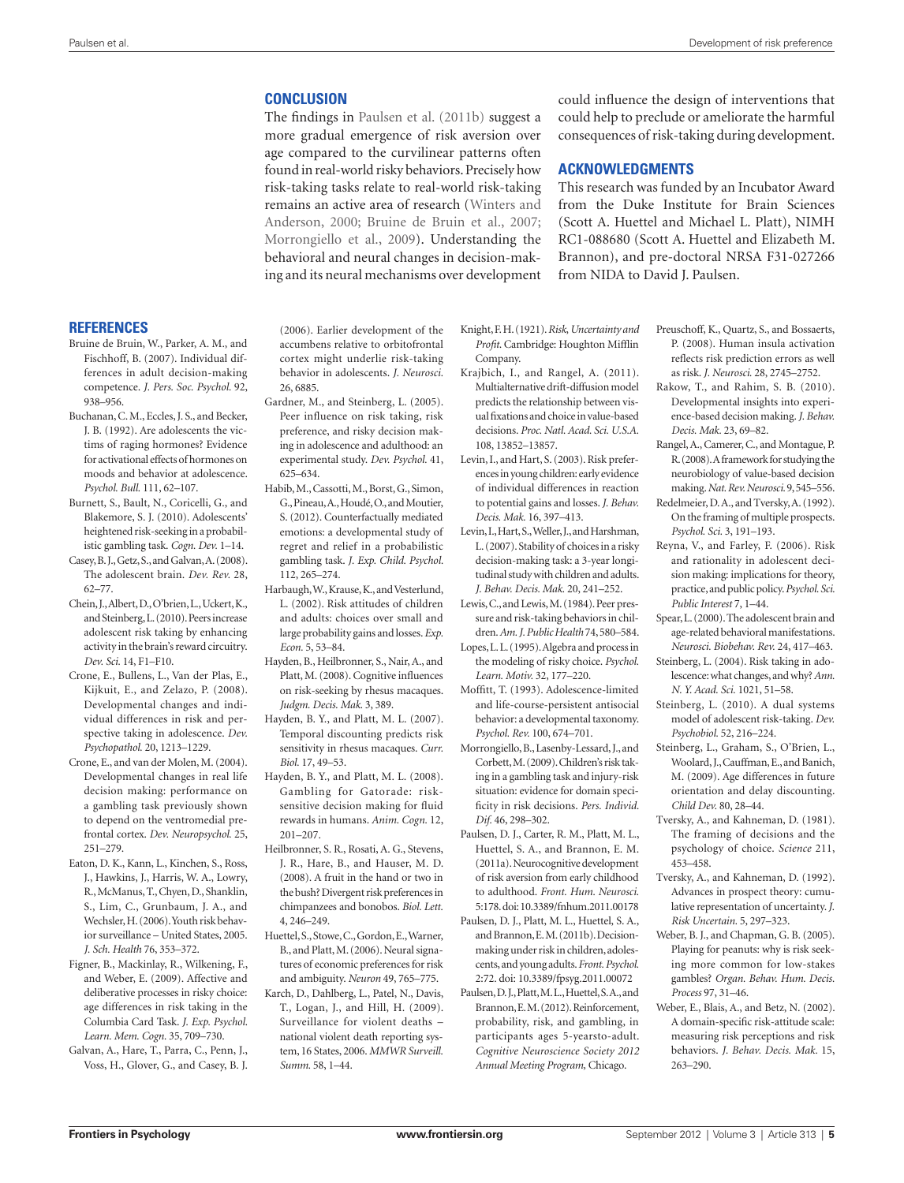## **Conclusion**

The findings in Paulsen et al. (2011b) suggest a more gradual emergence of risk aversion over age compared to the curvilinear patterns often found in real-world risky behaviors. Precisely how risk-taking tasks relate to real-world risk-taking remains an active area of research (Winters and Anderson, 2000; Bruine de Bruin et al., 2007; Morrongiello et al., 2009). Understanding the behavioral and neural changes in decision-making and its neural mechanisms over development could influence the design of interventions that could help to preclude or ameliorate the harmful consequences of risk-taking during development.

## **Acknowledgments**

This research was funded by an Incubator Award from the Duke Institute for Brain Sciences (Scott A. Huettel and Michael L. Platt), NIMH RC1-088680 (Scott A. Huettel and Elizabeth M. Brannon), and pre-doctoral NRSA F31-027266 from NIDA to David J. Paulsen.

## **References**

- Bruine de Bruin, W., Parker, A. M., and Fischhoff, B. (2007). Individual differences in adult decision-making competence. *J. Pers. Soc. Psychol.* 92, 938–956.
- Buchanan, C. M., Eccles, J. S., and Becker, J. B. (1992). Are adolescents the victims of raging hormones? Evidence for activational effects of hormones on moods and behavior at adolescence. *Psychol. Bull.* 111, 62–107.
- Burnett, S., Bault, N., Coricelli, G., and Blakemore, S. J. (2010). Adolescents' heightened risk-seeking in a probabilistic gambling task. *Cogn. Dev.* 1–14.
- Casey, B. J., Getz, S., and Galvan, A. (2008). The adolescent brain. *Dev. Rev.* 28, 62–77.
- Chein, J., Albert, D., O'brien, L., Uckert, K., and Steinberg, L. (2010). Peers increase adolescent risk taking by enhancing activity in the brain's reward circuitry. *Dev. Sci.* 14, F1–F10.
- Crone, E., Bullens, L., Van der Plas, E., Kijkuit, E., and Zelazo, P. (2008). Developmental changes and individual differences in risk and perspective taking in adolescence. *Dev. Psychopathol.* 20, 1213–1229.
- Crone, E., and van der Molen, M. (2004). Developmental changes in real life decision making: performance on a gambling task previously shown to depend on the ventromedial prefrontal cortex. *Dev. Neuropsychol.* 25, 251–279.
- Eaton, D. K., Kann, L., Kinchen, S., Ross, J., Hawkins, J., Harris, W. A., Lowry, R., McManus, T., Chyen, D., Shanklin, S., Lim, C., Grunbaum, J. A., and Wechsler, H. (2006). Youth risk behavior surveillance – United States, 2005. *J. Sch. Health* 76, 353–372.
- Figner, B., Mackinlay, R., Wilkening, F., and Weber, E. (2009). Affective and deliberative processes in risky choice: age differences in risk taking in the Columbia Card Task. *J. Exp. Psychol. Learn. Mem. Cogn.* 35, 709–730.
- Galvan, A., Hare, T., Parra, C., Penn, J., Voss, H., Glover, G., and Casey, B. J.

(2006). Earlier development of the accumbens relative to orbitofrontal cortex might underlie risk-taking behavior in adolescents. *J. Neurosci.*  26, 6885.

- Gardner, M., and Steinberg, L. (2005). Peer influence on risk taking, risk preference, and risky decision making in adolescence and adulthood: an experimental study. *Dev. Psychol.* 41, 625–634.
- Habib, M., Cassotti, M., Borst, G., Simon, G., Pineau, A., Houdé, O., and Moutier, S. (2012). Counterfactually mediated emotions: a developmental study of regret and relief in a probabilistic gambling task. *J. Exp. Child. Psychol.*  112, 265–274.
- Harbaugh, W., Krause, K., and Vesterlund, L. (2002). Risk attitudes of children and adults: choices over small and large probability gains and losses. *Exp. Econ.* 5, 53–84.
- Hayden, B., Heilbronner, S., Nair, A., and Platt, M. (2008). Cognitive influences on risk-seeking by rhesus macaques. *Judgm. Decis. Mak.* 3, 389.
- Hayden, B. Y., and Platt, M. L. (2007). Temporal discounting predicts risk sensitivity in rhesus macaques. *Curr. Biol.* 17, 49–53.
- Hayden, B. Y., and Platt, M. L. (2008). Gambling for Gatorade: risksensitive decision making for fluid rewards in humans. *Anim. Cogn.* 12, 201–207.
- Heilbronner, S. R., Rosati, A. G., Stevens, J. R., Hare, B., and Hauser, M. D. (2008). A fruit in the hand or two in the bush? Divergent risk preferences in chimpanzees and bonobos. *Biol. Lett.*  4, 246–249.
- Huettel, S., Stowe, C., Gordon, E., Warner, B., and Platt, M. (2006). Neural signatures of economic preferences for risk and ambiguity. *Neuron* 49, 765–775.
- Karch, D., Dahlberg, L., Patel, N., Davis, T., Logan, J., and Hill, H. (2009). Surveillance for violent deaths – national violent death reporting system, 16 States, 2006. *MMWR Surveill. Summ.* 58, 1–44.
- Knight, F. H. (1921). *Risk*, *Uncertainty and Profit*. Cambridge: Houghton Mifflin Company.
- Krajbich, I., and Rangel, A. (2011). Multialternative drift-diffusion model predicts the relationship between visual fixations and choice in value-based decisions. *Proc. Natl. Acad. Sci. U.S.A.*  108, 13852–13857.
- Levin, I., and Hart, S. (2003). Risk preferences in young children: early evidence of individual differences in reaction to potential gains and losses. *J. Behav. Decis. Mak.* 16, 397–413.
- Levin, I., Hart, S., Weller, J., and Harshman, L. (2007). Stability of choices in a risky decision-making task: a 3-year longitudinal study with children and adults. *J. Behav. Decis. Mak.* 20, 241–252.
- Lewis, C., and Lewis, M. (1984). Peer pressure and risk-taking behaviors in children. *Am. J. Public Health* 74, 580–584.
- Lopes, L. L. (1995). Algebra and process in the modeling of risky choice. *Psychol. Learn. Motiv.* 32, 177–220.
- Moffitt, T. (1993). Adolescence-limited and life-course-persistent antisocial behavior: a developmental taxonomy. *Psychol. Rev.* 100, 674–701.
- Morrongiello, B., Lasenby-Lessard, J., and Corbett, M. (2009). Children's risk taking in a gambling task and injury-risk situation: evidence for domain specificity in risk decisions. *Pers. Individ. Dif.* 46, 298–302.
- Paulsen, D. J., Carter, R. M., Platt, M. L., Huettel, S. A., and Brannon, E. M. (2011a). Neurocognitive development of risk aversion from early childhood to adulthood. *Front. Hum. Neurosci.*  5:178. doi: 10.3389/fnhum.2011.00178
- Paulsen, D. J., Platt, M. L., Huettel, S. A., and Brannon, E. M. (2011b). Decisionmaking under risk in children, adolescents, and young adults. *Front. Psychol.*  2:72. doi: 10.3389/fpsyg.2011.00072
- Paulsen, D. J., Platt, M. L., Huettel, S. A., and Brannon, E. M. (2012). Reinforcement, probability, risk, and gambling, in participants ages 5-yearsto-adult. *Cognitive Neuroscience Society 2012 Annual Meeting Program,* Chicago.
- Preuschoff, K., Quartz, S., and Bossaerts, P. (2008). Human insula activation reflects risk prediction errors as well as risk. *J. Neurosci.* 28, 2745–2752.
- Rakow, T., and Rahim, S. B. (2010). Developmental insights into experience-based decision making. *J. Behav. Decis. Mak.* 23, 69–82.
- Rangel, A., Camerer, C., and Montague, P. R. (2008). A framework for studying the neurobiology of value-based decision making. *Nat. Rev. Neurosci.* 9, 545–556.
- Redelmeier, D. A., and Tversky, A. (1992). On the framing of multiple prospects. *Psychol. Sci.* 3, 191–193.
- Reyna, V., and Farley, F. (2006). Risk and rationality in adolescent decision making: implications for theory, practice, and public policy. *Psychol. Sci. Public Interest* 7, 1–44.
- Spear, L. (2000). The adolescent brain and age-related behavioral manifestations. *Neurosci. Biobehav. Rev.* 24, 417–463.
- Steinberg, L. (2004). Risk taking in adolescence: what changes, and why? *Ann. N. Y. Acad. Sci.* 1021, 51–58.
- Steinberg, L. (2010). A dual systems model of adolescent risk-taking. *Dev. Psychobiol.* 52, 216–224.
- Steinberg, L., Graham, S., O'Brien, L., Woolard, J., Cauffman, E., and Banich, M. (2009). Age differences in future orientation and delay discounting. *Child Dev.* 80, 28–44.
- Tversky, A., and Kahneman, D. (1981). The framing of decisions and the psychology of choice. *Science* 211, 453–458.
- Tversky, A., and Kahneman, D. (1992). Advances in prospect theory: cumulative representation of uncertainty. *J. Risk Uncertain.* 5, 297–323.
- Weber, B. J., and Chapman, G. B. (2005). Playing for peanuts: why is risk seeking more common for low-stakes gambles? *Organ. Behav. Hum. Decis. Process* 97, 31–46.
- Weber, E., Blais, A., and Betz, N. (2002). A domain-specific risk-attitude scale: measuring risk perceptions and risk behaviors. *J. Behav. Decis. Mak.* 15, 263–290.